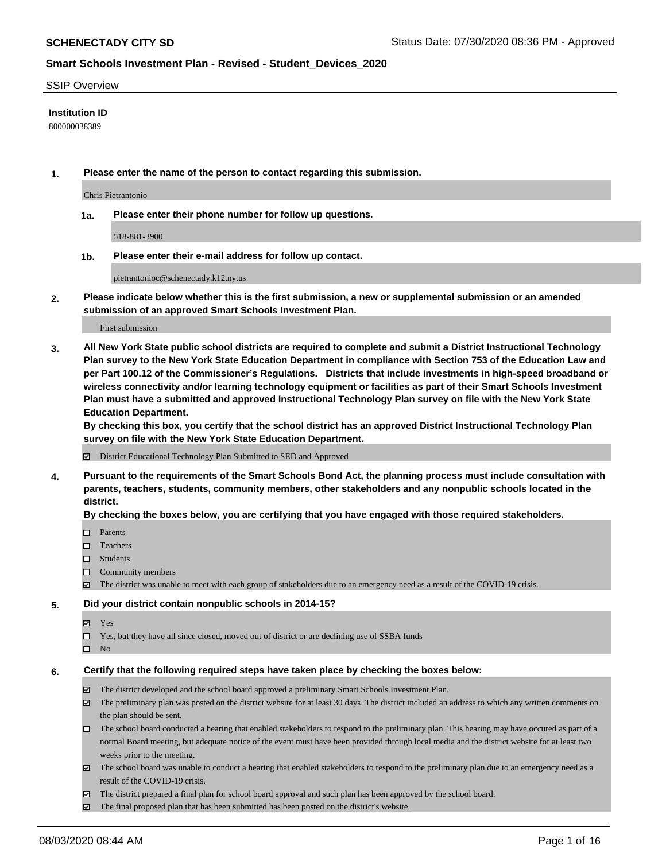#### SSIP Overview

#### **Institution ID**

800000038389

**1. Please enter the name of the person to contact regarding this submission.**

Chris Pietrantonio

**1a. Please enter their phone number for follow up questions.**

518-881-3900

**1b. Please enter their e-mail address for follow up contact.**

pietrantonioc@schenectady.k12.ny.us

**2. Please indicate below whether this is the first submission, a new or supplemental submission or an amended submission of an approved Smart Schools Investment Plan.**

#### First submission

**3. All New York State public school districts are required to complete and submit a District Instructional Technology Plan survey to the New York State Education Department in compliance with Section 753 of the Education Law and per Part 100.12 of the Commissioner's Regulations. Districts that include investments in high-speed broadband or wireless connectivity and/or learning technology equipment or facilities as part of their Smart Schools Investment Plan must have a submitted and approved Instructional Technology Plan survey on file with the New York State Education Department.** 

**By checking this box, you certify that the school district has an approved District Instructional Technology Plan survey on file with the New York State Education Department.**

District Educational Technology Plan Submitted to SED and Approved

**4. Pursuant to the requirements of the Smart Schools Bond Act, the planning process must include consultation with parents, teachers, students, community members, other stakeholders and any nonpublic schools located in the district.** 

#### **By checking the boxes below, you are certifying that you have engaged with those required stakeholders.**

- **D** Parents
- □ Teachers
- □ Students
- $\Box$  Community members
- The district was unable to meet with each group of stakeholders due to an emergency need as a result of the COVID-19 crisis.

#### **5. Did your district contain nonpublic schools in 2014-15?**

- **冈** Yes
- Yes, but they have all since closed, moved out of district or are declining use of SSBA funds
- $\square$  No

#### **6. Certify that the following required steps have taken place by checking the boxes below:**

- The district developed and the school board approved a preliminary Smart Schools Investment Plan.
- $\boxtimes$  The preliminary plan was posted on the district website for at least 30 days. The district included an address to which any written comments on the plan should be sent.
- The school board conducted a hearing that enabled stakeholders to respond to the preliminary plan. This hearing may have occured as part of a normal Board meeting, but adequate notice of the event must have been provided through local media and the district website for at least two weeks prior to the meeting.
- The school board was unable to conduct a hearing that enabled stakeholders to respond to the preliminary plan due to an emergency need as a result of the COVID-19 crisis.
- The district prepared a final plan for school board approval and such plan has been approved by the school board.
- $\boxtimes$  The final proposed plan that has been submitted has been posted on the district's website.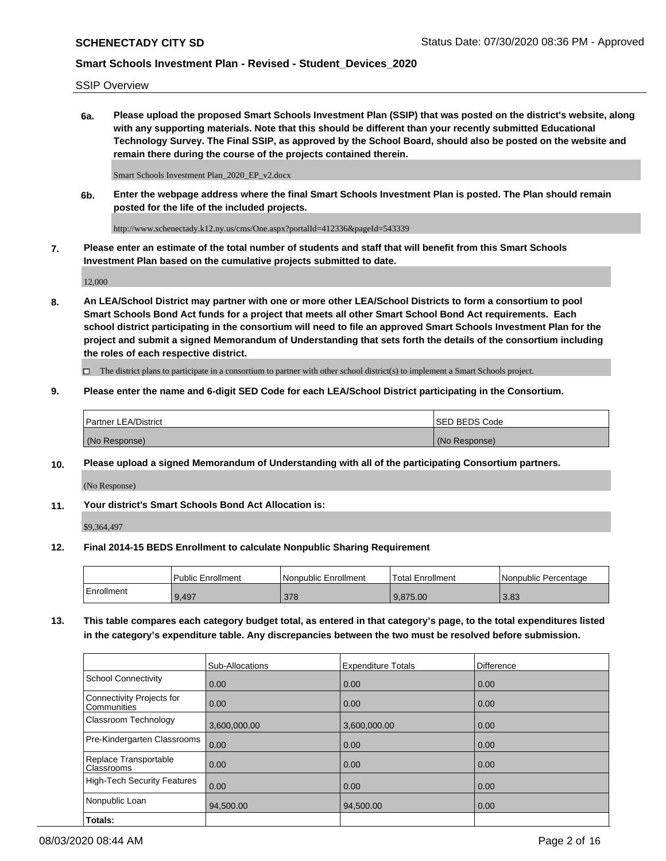SSIP Overview

**6a. Please upload the proposed Smart Schools Investment Plan (SSIP) that was posted on the district's website, along with any supporting materials. Note that this should be different than your recently submitted Educational Technology Survey. The Final SSIP, as approved by the School Board, should also be posted on the website and remain there during the course of the projects contained therein.**

Smart Schools Investment Plan\_2020\_EP\_v2.docx

**6b. Enter the webpage address where the final Smart Schools Investment Plan is posted. The Plan should remain posted for the life of the included projects.**

http://www.schenectady.k12.ny.us/cms/One.aspx?portalId=412336&pageId=543339

**7. Please enter an estimate of the total number of students and staff that will benefit from this Smart Schools Investment Plan based on the cumulative projects submitted to date.**

12,000

**8. An LEA/School District may partner with one or more other LEA/School Districts to form a consortium to pool Smart Schools Bond Act funds for a project that meets all other Smart School Bond Act requirements. Each school district participating in the consortium will need to file an approved Smart Schools Investment Plan for the project and submit a signed Memorandum of Understanding that sets forth the details of the consortium including the roles of each respective district.**

 $\Box$  The district plans to participate in a consortium to partner with other school district(s) to implement a Smart Schools project.

### **9. Please enter the name and 6-digit SED Code for each LEA/School District participating in the Consortium.**

| <sup>1</sup> Partner LEA/District | <b>ISED BEDS Code</b> |
|-----------------------------------|-----------------------|
| (No Response)                     | (No Response)         |

### **10. Please upload a signed Memorandum of Understanding with all of the participating Consortium partners.**

(No Response)

### **11. Your district's Smart Schools Bond Act Allocation is:**

\$9,364,497

#### **12. Final 2014-15 BEDS Enrollment to calculate Nonpublic Sharing Requirement**

|            | Public Enrollment | Nonpublic Enrollment | Total Enrollment | l Nonpublic Percentage |
|------------|-------------------|----------------------|------------------|------------------------|
| Enrollment | 9,497             | 378                  | 9,875.00         | 3.83                   |

**13. This table compares each category budget total, as entered in that category's page, to the total expenditures listed in the category's expenditure table. Any discrepancies between the two must be resolved before submission.**

|                                          | Sub-Allocations | <b>Expenditure Totals</b> | Difference |
|------------------------------------------|-----------------|---------------------------|------------|
| <b>School Connectivity</b>               | 0.00            | 0.00                      | 0.00       |
| Connectivity Projects for<br>Communities | 0.00            | 0.00                      | 0.00       |
| Classroom Technology                     | 3,600,000.00    | 3,600,000.00              | 0.00       |
| Pre-Kindergarten Classrooms              | 0.00            | 0.00                      | 0.00       |
| Replace Transportable<br>Classrooms      | 0.00            | 0.00                      | 0.00       |
| <b>High-Tech Security Features</b>       | 0.00            | 0.00                      | 0.00       |
| Nonpublic Loan                           | 94,500.00       | 94,500.00                 | 0.00       |
| Totals:                                  |                 |                           |            |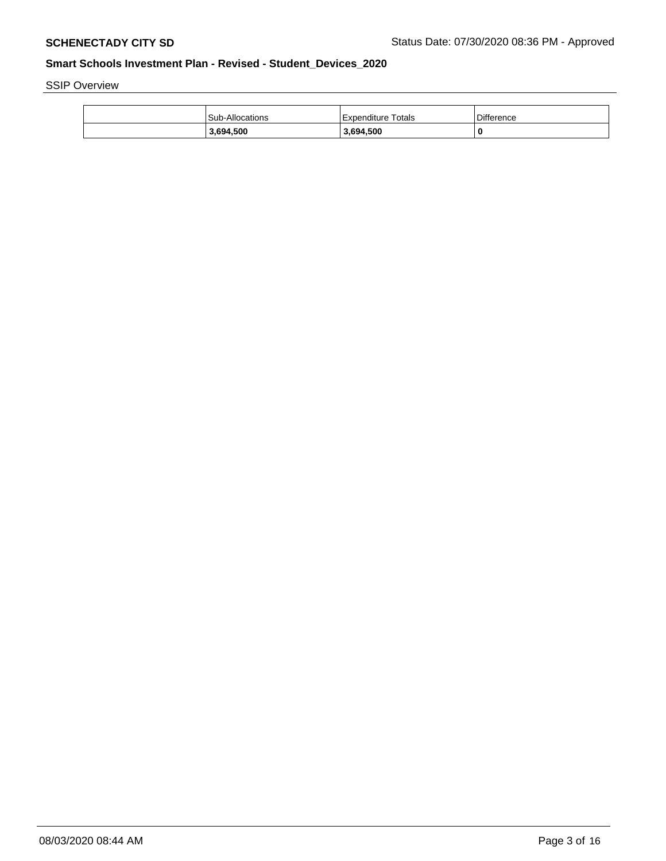SSIP Overview

| <b>Sub-Allocations</b> | Expenditure Totals | Difference |
|------------------------|--------------------|------------|
| 3,694,500              | 3.694.500          | 0          |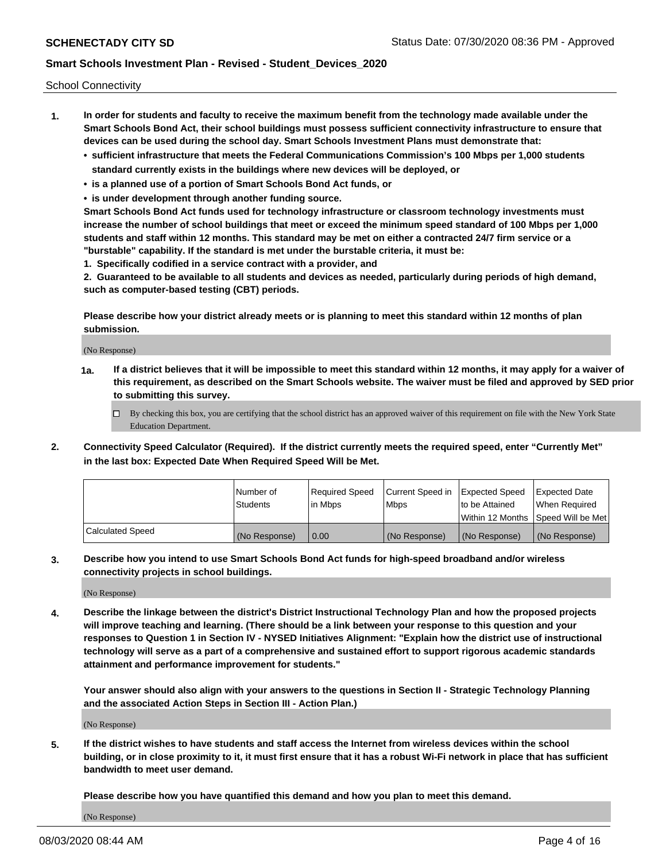School Connectivity

- **1. In order for students and faculty to receive the maximum benefit from the technology made available under the Smart Schools Bond Act, their school buildings must possess sufficient connectivity infrastructure to ensure that devices can be used during the school day. Smart Schools Investment Plans must demonstrate that:**
	- **• sufficient infrastructure that meets the Federal Communications Commission's 100 Mbps per 1,000 students standard currently exists in the buildings where new devices will be deployed, or**
	- **• is a planned use of a portion of Smart Schools Bond Act funds, or**
	- **• is under development through another funding source.**

**Smart Schools Bond Act funds used for technology infrastructure or classroom technology investments must increase the number of school buildings that meet or exceed the minimum speed standard of 100 Mbps per 1,000 students and staff within 12 months. This standard may be met on either a contracted 24/7 firm service or a "burstable" capability. If the standard is met under the burstable criteria, it must be:**

**1. Specifically codified in a service contract with a provider, and**

**2. Guaranteed to be available to all students and devices as needed, particularly during periods of high demand, such as computer-based testing (CBT) periods.**

**Please describe how your district already meets or is planning to meet this standard within 12 months of plan submission.**

(No Response)

**1a. If a district believes that it will be impossible to meet this standard within 12 months, it may apply for a waiver of this requirement, as described on the Smart Schools website. The waiver must be filed and approved by SED prior to submitting this survey.**

 $\Box$  By checking this box, you are certifying that the school district has an approved waiver of this requirement on file with the New York State Education Department.

**2. Connectivity Speed Calculator (Required). If the district currently meets the required speed, enter "Currently Met" in the last box: Expected Date When Required Speed Will be Met.**

|                  | l Number of     | Required Speed | Current Speed in | Expected Speed | Expected Date                           |
|------------------|-----------------|----------------|------------------|----------------|-----------------------------------------|
|                  | <b>Students</b> | In Mbps        | l Mbps           | to be Attained | When Required                           |
|                  |                 |                |                  |                | l Within 12 Months ISpeed Will be Met l |
| Calculated Speed | (No Response)   | 0.00           | (No Response)    | (No Response)  | (No Response)                           |

**3. Describe how you intend to use Smart Schools Bond Act funds for high-speed broadband and/or wireless connectivity projects in school buildings.**

(No Response)

**4. Describe the linkage between the district's District Instructional Technology Plan and how the proposed projects will improve teaching and learning. (There should be a link between your response to this question and your responses to Question 1 in Section IV - NYSED Initiatives Alignment: "Explain how the district use of instructional technology will serve as a part of a comprehensive and sustained effort to support rigorous academic standards attainment and performance improvement for students."** 

**Your answer should also align with your answers to the questions in Section II - Strategic Technology Planning and the associated Action Steps in Section III - Action Plan.)**

(No Response)

**5. If the district wishes to have students and staff access the Internet from wireless devices within the school building, or in close proximity to it, it must first ensure that it has a robust Wi-Fi network in place that has sufficient bandwidth to meet user demand.**

**Please describe how you have quantified this demand and how you plan to meet this demand.**

(No Response)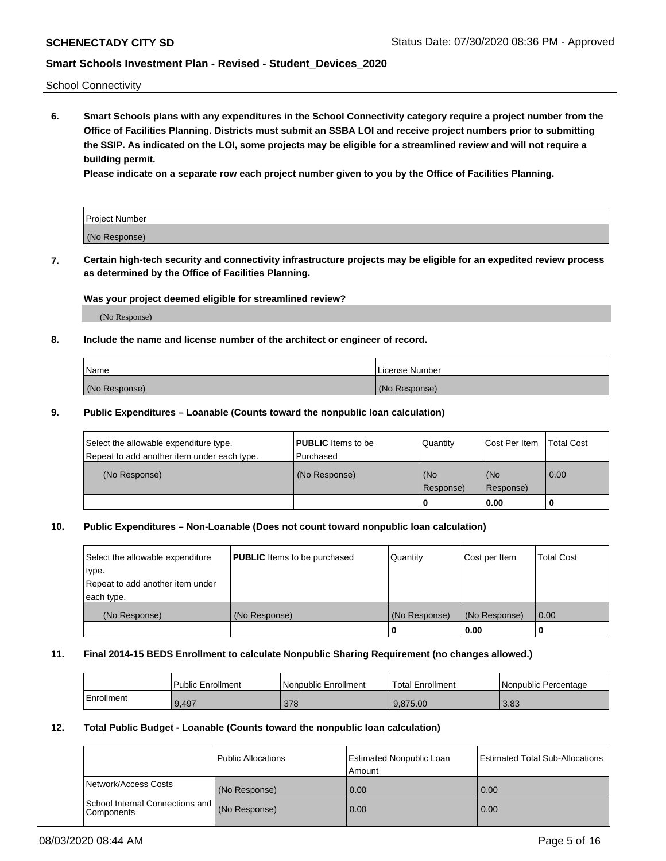School Connectivity

**6. Smart Schools plans with any expenditures in the School Connectivity category require a project number from the Office of Facilities Planning. Districts must submit an SSBA LOI and receive project numbers prior to submitting the SSIP. As indicated on the LOI, some projects may be eligible for a streamlined review and will not require a building permit.**

**Please indicate on a separate row each project number given to you by the Office of Facilities Planning.**

| Project Number |  |
|----------------|--|
| (No Response)  |  |

**7. Certain high-tech security and connectivity infrastructure projects may be eligible for an expedited review process as determined by the Office of Facilities Planning.**

#### **Was your project deemed eligible for streamlined review?**

(No Response)

### **8. Include the name and license number of the architect or engineer of record.**

| Name          | License Number |
|---------------|----------------|
| (No Response) | (No Response)  |

#### **9. Public Expenditures – Loanable (Counts toward the nonpublic loan calculation)**

| Select the allowable expenditure type.<br>Repeat to add another item under each type. | <b>PUBLIC</b> Items to be<br>l Purchased | Quantity           | Cost Per Item    | <b>Total Cost</b> |
|---------------------------------------------------------------------------------------|------------------------------------------|--------------------|------------------|-------------------|
| (No Response)                                                                         | (No Response)                            | l (No<br>Response) | (No<br>Response) | $\overline{0.00}$ |
|                                                                                       |                                          | O                  | 0.00             |                   |

### **10. Public Expenditures – Non-Loanable (Does not count toward nonpublic loan calculation)**

| Select the allowable expenditure<br>type.<br>Repeat to add another item under<br>each type. | <b>PUBLIC</b> Items to be purchased | Quantity      | Cost per Item | <b>Total Cost</b> |
|---------------------------------------------------------------------------------------------|-------------------------------------|---------------|---------------|-------------------|
| (No Response)                                                                               | (No Response)                       | (No Response) | (No Response) | 0.00              |
|                                                                                             |                                     |               | 0.00          |                   |

#### **11. Final 2014-15 BEDS Enrollment to calculate Nonpublic Sharing Requirement (no changes allowed.)**

|            | Public Enrollment | Nonpublic Enrollment | 'Total Enrollment | l Nonpublic Percentage |
|------------|-------------------|----------------------|-------------------|------------------------|
| Enrollment | 9.497             | 378                  | 9.875.00          | 3.83                   |

### **12. Total Public Budget - Loanable (Counts toward the nonpublic loan calculation)**

|                                                      | Public Allocations | <b>Estimated Nonpublic Loan</b><br>Amount | Estimated Total Sub-Allocations |
|------------------------------------------------------|--------------------|-------------------------------------------|---------------------------------|
| Network/Access Costs                                 | (No Response)      | 0.00                                      | 0.00                            |
| School Internal Connections and<br><b>Components</b> | (No Response)      | 0.00                                      | 0.00                            |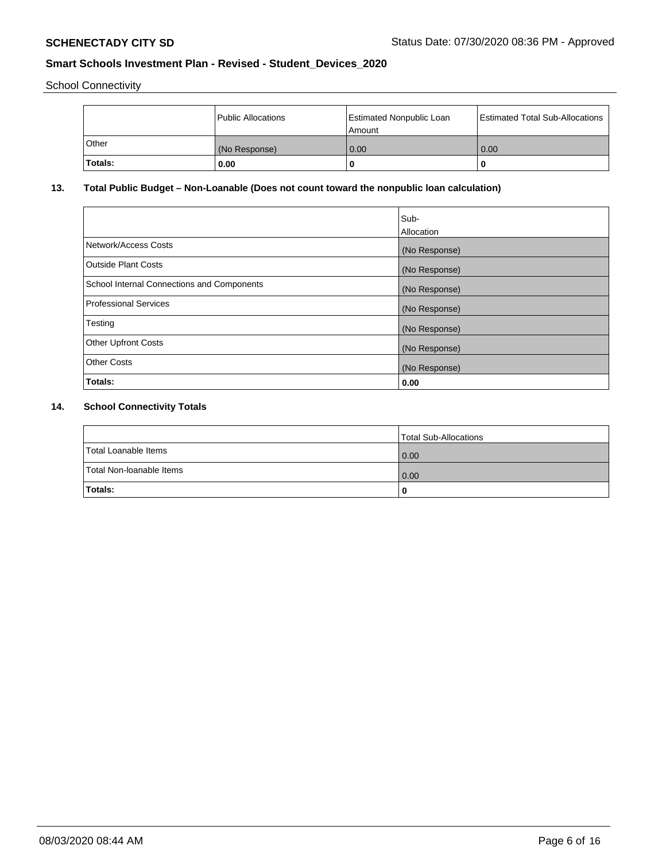School Connectivity

|                | Public Allocations | <b>Estimated Nonpublic Loan</b><br>l Amount | <b>Estimated Total Sub-Allocations</b> |
|----------------|--------------------|---------------------------------------------|----------------------------------------|
| l Other        | (No Response)      | 0.00                                        | 0.00                                   |
| <b>Totals:</b> | 0.00               | 0                                           |                                        |

## **13. Total Public Budget – Non-Loanable (Does not count toward the nonpublic loan calculation)**

|                                                   | Sub-<br>Allocation |
|---------------------------------------------------|--------------------|
|                                                   |                    |
| Network/Access Costs                              | (No Response)      |
| <b>Outside Plant Costs</b>                        | (No Response)      |
| <b>School Internal Connections and Components</b> | (No Response)      |
| Professional Services                             | (No Response)      |
| Testing                                           | (No Response)      |
| <b>Other Upfront Costs</b>                        | (No Response)      |
| <b>Other Costs</b>                                | (No Response)      |
| <b>Totals:</b>                                    | 0.00               |

## **14. School Connectivity Totals**

|                          | Total Sub-Allocations |
|--------------------------|-----------------------|
| Total Loanable Items     | 0.00                  |
| Total Non-Ioanable Items | 0.00                  |
| Totals:                  | 0                     |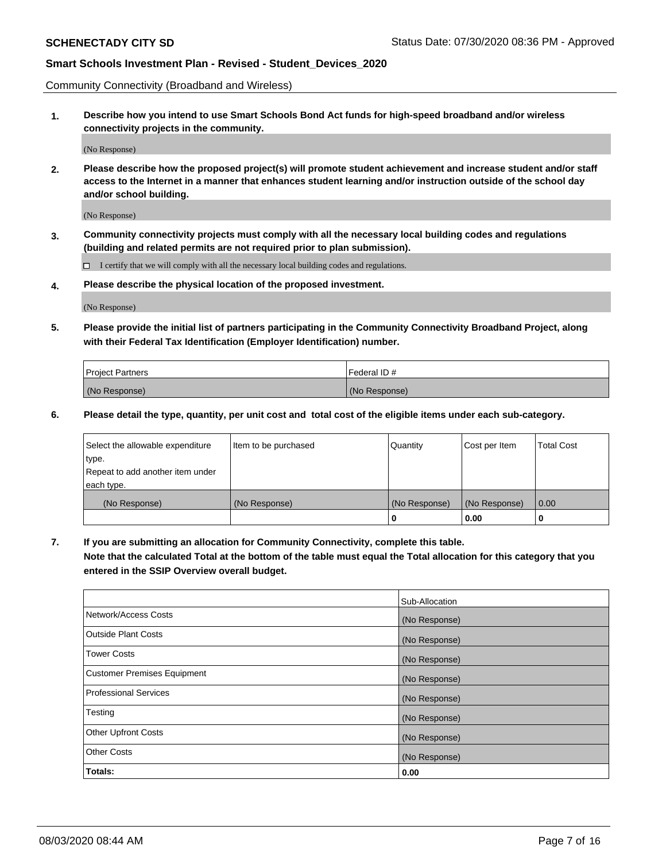Community Connectivity (Broadband and Wireless)

**1. Describe how you intend to use Smart Schools Bond Act funds for high-speed broadband and/or wireless connectivity projects in the community.**

(No Response)

**2. Please describe how the proposed project(s) will promote student achievement and increase student and/or staff access to the Internet in a manner that enhances student learning and/or instruction outside of the school day and/or school building.**

(No Response)

**3. Community connectivity projects must comply with all the necessary local building codes and regulations (building and related permits are not required prior to plan submission).**

 $\Box$  I certify that we will comply with all the necessary local building codes and regulations.

**4. Please describe the physical location of the proposed investment.**

(No Response)

**5. Please provide the initial list of partners participating in the Community Connectivity Broadband Project, along with their Federal Tax Identification (Employer Identification) number.**

| <b>Project Partners</b> | l Federal ID # |
|-------------------------|----------------|
| (No Response)           | (No Response)  |

**6. Please detail the type, quantity, per unit cost and total cost of the eligible items under each sub-category.**

| Select the allowable expenditure | Item to be purchased | Quantity      | Cost per Item | <b>Total Cost</b> |
|----------------------------------|----------------------|---------------|---------------|-------------------|
| type.                            |                      |               |               |                   |
| Repeat to add another item under |                      |               |               |                   |
| each type.                       |                      |               |               |                   |
| (No Response)                    | (No Response)        | (No Response) | (No Response) | 0.00              |
|                                  |                      | o             | 0.00          |                   |

**7. If you are submitting an allocation for Community Connectivity, complete this table.**

**Note that the calculated Total at the bottom of the table must equal the Total allocation for this category that you entered in the SSIP Overview overall budget.**

|                                    | Sub-Allocation |
|------------------------------------|----------------|
| Network/Access Costs               | (No Response)  |
| Outside Plant Costs                | (No Response)  |
| <b>Tower Costs</b>                 | (No Response)  |
| <b>Customer Premises Equipment</b> | (No Response)  |
| <b>Professional Services</b>       | (No Response)  |
| Testing                            | (No Response)  |
| <b>Other Upfront Costs</b>         | (No Response)  |
| <b>Other Costs</b>                 | (No Response)  |
| Totals:                            | 0.00           |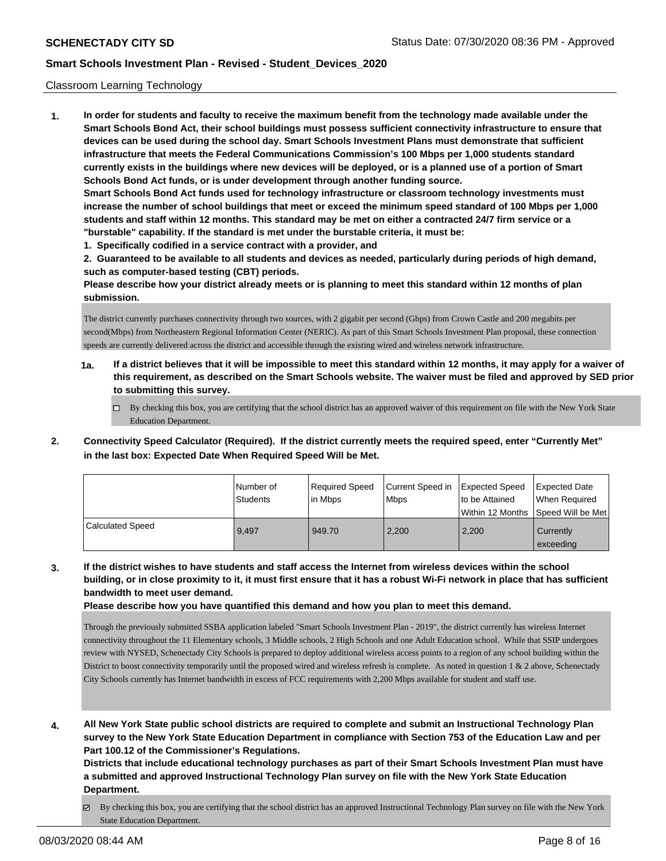#### Classroom Learning Technology

**1. In order for students and faculty to receive the maximum benefit from the technology made available under the Smart Schools Bond Act, their school buildings must possess sufficient connectivity infrastructure to ensure that devices can be used during the school day. Smart Schools Investment Plans must demonstrate that sufficient infrastructure that meets the Federal Communications Commission's 100 Mbps per 1,000 students standard currently exists in the buildings where new devices will be deployed, or is a planned use of a portion of Smart Schools Bond Act funds, or is under development through another funding source. Smart Schools Bond Act funds used for technology infrastructure or classroom technology investments must increase the number of school buildings that meet or exceed the minimum speed standard of 100 Mbps per 1,000 students and staff within 12 months. This standard may be met on either a contracted 24/7 firm service or a "burstable" capability. If the standard is met under the burstable criteria, it must be:**

**1. Specifically codified in a service contract with a provider, and**

**2. Guaranteed to be available to all students and devices as needed, particularly during periods of high demand, such as computer-based testing (CBT) periods.**

**Please describe how your district already meets or is planning to meet this standard within 12 months of plan submission.**

The district currently purchases connectivity through two sources, with 2 gigabit per second (Gbps) from Crown Castle and 200 megabits per second(Mbps) from Northeastern Regional Information Center (NERIC). As part of this Smart Schools Investment Plan proposal, these connection speeds are currently delivered across the district and accessible through the existing wired and wireless network infrastructure.

- **1a. If a district believes that it will be impossible to meet this standard within 12 months, it may apply for a waiver of this requirement, as described on the Smart Schools website. The waiver must be filed and approved by SED prior to submitting this survey.**
	- By checking this box, you are certifying that the school district has an approved waiver of this requirement on file with the New York State Education Department.
- **2. Connectivity Speed Calculator (Required). If the district currently meets the required speed, enter "Currently Met" in the last box: Expected Date When Required Speed Will be Met.**

|                  | l Number of<br><b>Students</b> | Required Speed<br>l in Mbps | Current Speed in<br>Mbps | <b>Expected Speed</b><br>to be Attained | <b>Expected Date</b><br>l When Reauired<br> Within 12 Months   Speed Will be Met |
|------------------|--------------------------------|-----------------------------|--------------------------|-----------------------------------------|----------------------------------------------------------------------------------|
| Calculated Speed | 9.497                          | 949.70                      | 2,200                    | 2,200                                   | Currently<br>exceeding                                                           |

**3. If the district wishes to have students and staff access the Internet from wireless devices within the school building, or in close proximity to it, it must first ensure that it has a robust Wi-Fi network in place that has sufficient bandwidth to meet user demand.**

**Please describe how you have quantified this demand and how you plan to meet this demand.**

Through the previously submitted SSBA application labeled "Smart Schools Investment Plan - 2019", the district currently has wireless Internet connectivity throughout the 11 Elementary schools, 3 Middle schools, 2 High Schools and one Adult Education school. While that SSIP undergoes review with NYSED, Schenectady City Schools is prepared to deploy additional wireless access points to a region of any school building within the District to boost connectivity temporarily until the proposed wired and wireless refresh is complete. As noted in question  $1 \& 2$  above, Schenectady City Schools currently has Internet bandwidth in excess of FCC requirements with 2,200 Mbps available for student and staff use.

**4. All New York State public school districts are required to complete and submit an Instructional Technology Plan survey to the New York State Education Department in compliance with Section 753 of the Education Law and per Part 100.12 of the Commissioner's Regulations.**

**Districts that include educational technology purchases as part of their Smart Schools Investment Plan must have a submitted and approved Instructional Technology Plan survey on file with the New York State Education Department.**

By checking this box, you are certifying that the school district has an approved Instructional Technology Plan survey on file with the New York State Education Department.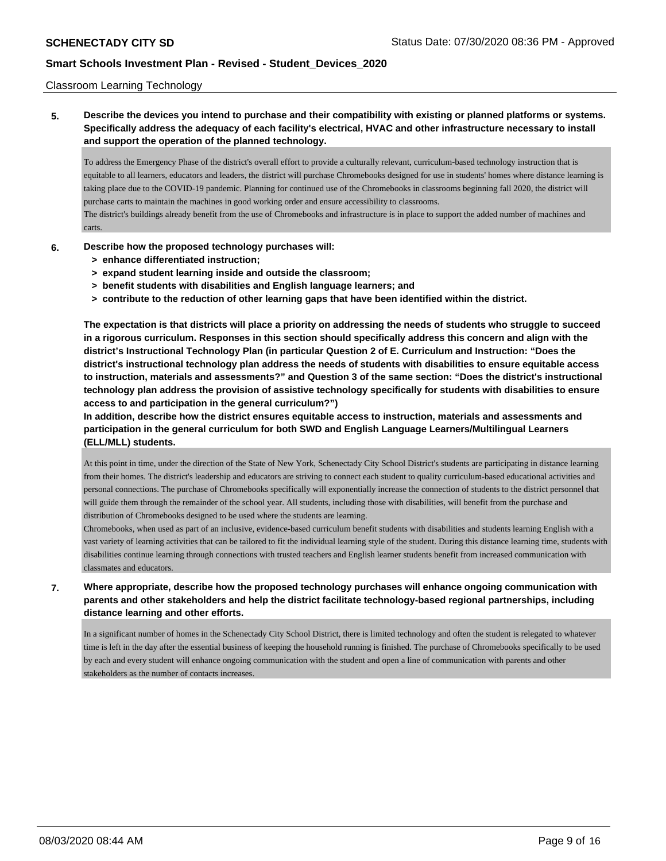### Classroom Learning Technology

**5. Describe the devices you intend to purchase and their compatibility with existing or planned platforms or systems. Specifically address the adequacy of each facility's electrical, HVAC and other infrastructure necessary to install and support the operation of the planned technology.**

To address the Emergency Phase of the district's overall effort to provide a culturally relevant, curriculum-based technology instruction that is equitable to all learners, educators and leaders, the district will purchase Chromebooks designed for use in students' homes where distance learning is taking place due to the COVID-19 pandemic. Planning for continued use of the Chromebooks in classrooms beginning fall 2020, the district will purchase carts to maintain the machines in good working order and ensure accessibility to classrooms.

The district's buildings already benefit from the use of Chromebooks and infrastructure is in place to support the added number of machines and carts.

- **6. Describe how the proposed technology purchases will:**
	- **> enhance differentiated instruction;**
	- **> expand student learning inside and outside the classroom;**
	- **> benefit students with disabilities and English language learners; and**
	- **> contribute to the reduction of other learning gaps that have been identified within the district.**

**The expectation is that districts will place a priority on addressing the needs of students who struggle to succeed in a rigorous curriculum. Responses in this section should specifically address this concern and align with the district's Instructional Technology Plan (in particular Question 2 of E. Curriculum and Instruction: "Does the district's instructional technology plan address the needs of students with disabilities to ensure equitable access to instruction, materials and assessments?" and Question 3 of the same section: "Does the district's instructional technology plan address the provision of assistive technology specifically for students with disabilities to ensure access to and participation in the general curriculum?")**

**In addition, describe how the district ensures equitable access to instruction, materials and assessments and participation in the general curriculum for both SWD and English Language Learners/Multilingual Learners (ELL/MLL) students.**

At this point in time, under the direction of the State of New York, Schenectady City School District's students are participating in distance learning from their homes. The district's leadership and educators are striving to connect each student to quality curriculum-based educational activities and personal connections. The purchase of Chromebooks specifically will exponentially increase the connection of students to the district personnel that will guide them through the remainder of the school year. All students, including those with disabilities, will benefit from the purchase and distribution of Chromebooks designed to be used where the students are learning.

Chromebooks, when used as part of an inclusive, evidence-based curriculum benefit students with disabilities and students learning English with a vast variety of learning activities that can be tailored to fit the individual learning style of the student. During this distance learning time, students with disabilities continue learning through connections with trusted teachers and English learner students benefit from increased communication with classmates and educators.

**7. Where appropriate, describe how the proposed technology purchases will enhance ongoing communication with parents and other stakeholders and help the district facilitate technology-based regional partnerships, including distance learning and other efforts.**

In a significant number of homes in the Schenectady City School District, there is limited technology and often the student is relegated to whatever time is left in the day after the essential business of keeping the household running is finished. The purchase of Chromebooks specifically to be used by each and every student will enhance ongoing communication with the student and open a line of communication with parents and other stakeholders as the number of contacts increases.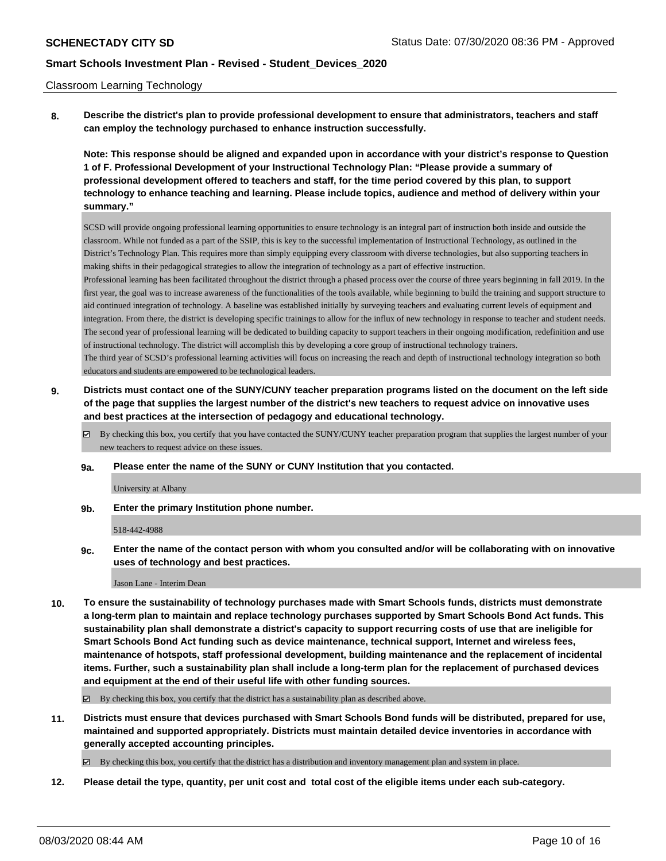#### Classroom Learning Technology

**8. Describe the district's plan to provide professional development to ensure that administrators, teachers and staff can employ the technology purchased to enhance instruction successfully.**

**Note: This response should be aligned and expanded upon in accordance with your district's response to Question 1 of F. Professional Development of your Instructional Technology Plan: "Please provide a summary of professional development offered to teachers and staff, for the time period covered by this plan, to support technology to enhance teaching and learning. Please include topics, audience and method of delivery within your summary."**

SCSD will provide ongoing professional learning opportunities to ensure technology is an integral part of instruction both inside and outside the classroom. While not funded as a part of the SSIP, this is key to the successful implementation of Instructional Technology, as outlined in the District's Technology Plan. This requires more than simply equipping every classroom with diverse technologies, but also supporting teachers in making shifts in their pedagogical strategies to allow the integration of technology as a part of effective instruction. Professional learning has been facilitated throughout the district through a phased process over the course of three years beginning in fall 2019. In the first year, the goal was to increase awareness of the functionalities of the tools available, while beginning to build the training and support structure to aid continued integration of technology. A baseline was established initially by surveying teachers and evaluating current levels of equipment and integration. From there, the district is developing specific trainings to allow for the influx of new technology in response to teacher and student needs. The second year of professional learning will be dedicated to building capacity to support teachers in their ongoing modification, redefinition and use of instructional technology. The district will accomplish this by developing a core group of instructional technology trainers. The third year of SCSD's professional learning activities will focus on increasing the reach and depth of instructional technology integration so both educators and students are empowered to be technological leaders.

- **9. Districts must contact one of the SUNY/CUNY teacher preparation programs listed on the document on the left side of the page that supplies the largest number of the district's new teachers to request advice on innovative uses and best practices at the intersection of pedagogy and educational technology.**
	- By checking this box, you certify that you have contacted the SUNY/CUNY teacher preparation program that supplies the largest number of your new teachers to request advice on these issues.
	- **9a. Please enter the name of the SUNY or CUNY Institution that you contacted.**

University at Albany

**9b. Enter the primary Institution phone number.**

518-442-4988

**9c. Enter the name of the contact person with whom you consulted and/or will be collaborating with on innovative uses of technology and best practices.**

#### Jason Lane - Interim Dean

**10. To ensure the sustainability of technology purchases made with Smart Schools funds, districts must demonstrate a long-term plan to maintain and replace technology purchases supported by Smart Schools Bond Act funds. This sustainability plan shall demonstrate a district's capacity to support recurring costs of use that are ineligible for Smart Schools Bond Act funding such as device maintenance, technical support, Internet and wireless fees, maintenance of hotspots, staff professional development, building maintenance and the replacement of incidental items. Further, such a sustainability plan shall include a long-term plan for the replacement of purchased devices and equipment at the end of their useful life with other funding sources.**

 $\boxtimes$  By checking this box, you certify that the district has a sustainability plan as described above.

**11. Districts must ensure that devices purchased with Smart Schools Bond funds will be distributed, prepared for use, maintained and supported appropriately. Districts must maintain detailed device inventories in accordance with generally accepted accounting principles.**

By checking this box, you certify that the district has a distribution and inventory management plan and system in place.

**12. Please detail the type, quantity, per unit cost and total cost of the eligible items under each sub-category.**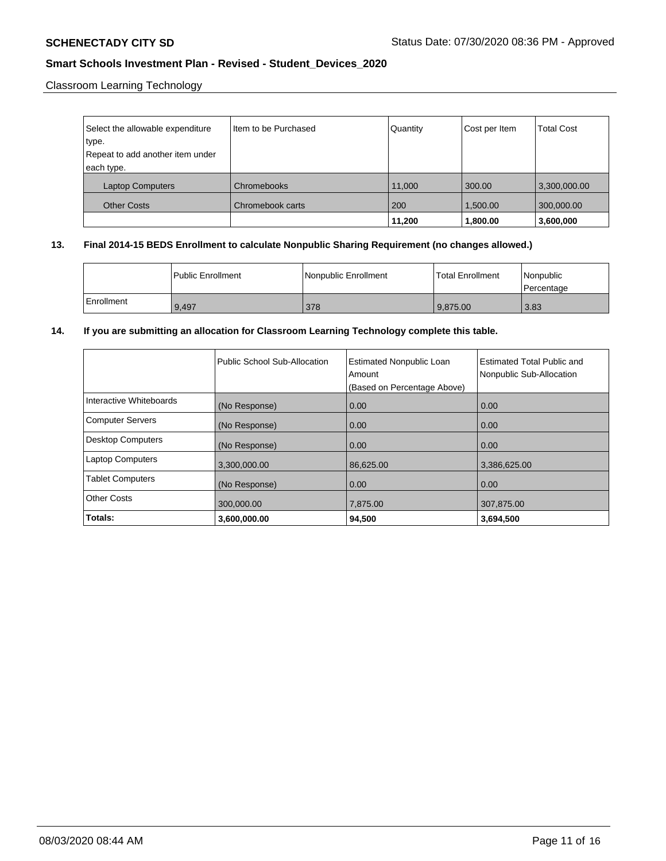Classroom Learning Technology

| Select the allowable expenditure | Item to be Purchased | Quantity | Cost per Item | <b>Total Cost</b> |
|----------------------------------|----------------------|----------|---------------|-------------------|
| type.                            |                      |          |               |                   |
| Repeat to add another item under |                      |          |               |                   |
| each type.                       |                      |          |               |                   |
| <b>Laptop Computers</b>          | Chromebooks          | 11,000   | 300.00        | 3,300,000.00      |
| <b>Other Costs</b>               | Chromebook carts     | 200      | 1.500.00      | 300,000.00        |
|                                  |                      | 11,200   | 1,800.00      | 3,600,000         |

## **13. Final 2014-15 BEDS Enrollment to calculate Nonpublic Sharing Requirement (no changes allowed.)**

|              | <b>I Public Enrollment</b> | Nonpublic Enrollment | Total Enrollment | l Nonpublic<br>Percentage |
|--------------|----------------------------|----------------------|------------------|---------------------------|
| l Enrollment | 9.497                      | 378                  | 9,875.00         | 3.83                      |

## **14. If you are submitting an allocation for Classroom Learning Technology complete this table.**

|                         | Public School Sub-Allocation | <b>Estimated Nonpublic Loan</b><br>Amount<br>(Based on Percentage Above) | Estimated Total Public and<br>Nonpublic Sub-Allocation |
|-------------------------|------------------------------|--------------------------------------------------------------------------|--------------------------------------------------------|
| Interactive Whiteboards | (No Response)                | 0.00                                                                     | 0.00                                                   |
| Computer Servers        | (No Response)                | 0.00                                                                     | 0.00                                                   |
| Desktop Computers       | (No Response)                | 0.00                                                                     | 0.00                                                   |
| Laptop Computers        | 3,300,000.00                 | 86,625.00                                                                | 3,386,625.00                                           |
| <b>Tablet Computers</b> | (No Response)                | 0.00                                                                     | 0.00                                                   |
| <b>Other Costs</b>      | 300,000.00                   | 7,875.00                                                                 | 307,875.00                                             |
| Totals:                 | 3,600,000.00                 | 94,500                                                                   | 3,694,500                                              |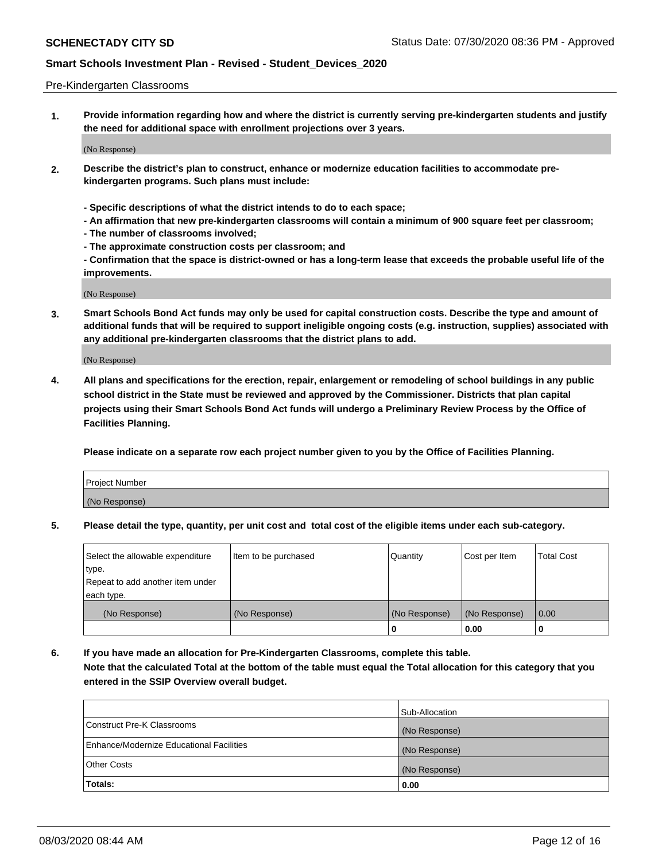#### Pre-Kindergarten Classrooms

**1. Provide information regarding how and where the district is currently serving pre-kindergarten students and justify the need for additional space with enrollment projections over 3 years.**

(No Response)

- **2. Describe the district's plan to construct, enhance or modernize education facilities to accommodate prekindergarten programs. Such plans must include:**
	- **Specific descriptions of what the district intends to do to each space;**
	- **An affirmation that new pre-kindergarten classrooms will contain a minimum of 900 square feet per classroom;**
	- **The number of classrooms involved;**
	- **The approximate construction costs per classroom; and**
	- **Confirmation that the space is district-owned or has a long-term lease that exceeds the probable useful life of the improvements.**

(No Response)

**3. Smart Schools Bond Act funds may only be used for capital construction costs. Describe the type and amount of additional funds that will be required to support ineligible ongoing costs (e.g. instruction, supplies) associated with any additional pre-kindergarten classrooms that the district plans to add.**

(No Response)

**4. All plans and specifications for the erection, repair, enlargement or remodeling of school buildings in any public school district in the State must be reviewed and approved by the Commissioner. Districts that plan capital projects using their Smart Schools Bond Act funds will undergo a Preliminary Review Process by the Office of Facilities Planning.**

**Please indicate on a separate row each project number given to you by the Office of Facilities Planning.**

| Project Number |  |
|----------------|--|
| (No Response)  |  |
|                |  |

**5. Please detail the type, quantity, per unit cost and total cost of the eligible items under each sub-category.**

| Select the allowable expenditure | Item to be purchased | Quantity      | Cost per Item | <b>Total Cost</b> |
|----------------------------------|----------------------|---------------|---------------|-------------------|
| 'type.                           |                      |               |               |                   |
| Repeat to add another item under |                      |               |               |                   |
| each type.                       |                      |               |               |                   |
| (No Response)                    | (No Response)        | (No Response) | (No Response) | 0.00              |
|                                  |                      | U             | 0.00          |                   |

**6. If you have made an allocation for Pre-Kindergarten Classrooms, complete this table. Note that the calculated Total at the bottom of the table must equal the Total allocation for this category that you entered in the SSIP Overview overall budget.**

| Totals:                                  | 0.00           |
|------------------------------------------|----------------|
| <b>Other Costs</b>                       | (No Response)  |
| Enhance/Modernize Educational Facilities | (No Response)  |
| Construct Pre-K Classrooms               | (No Response)  |
|                                          | Sub-Allocation |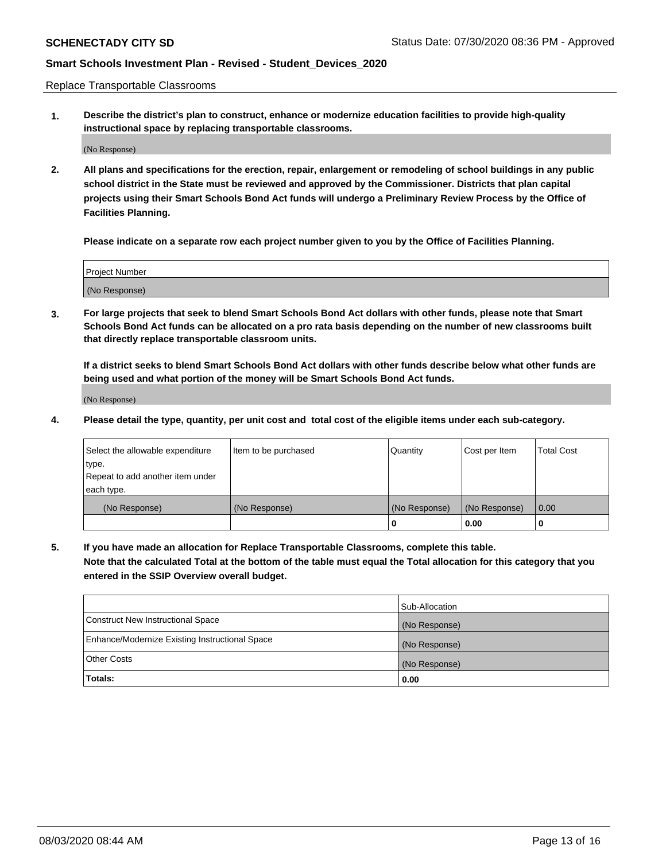Replace Transportable Classrooms

**1. Describe the district's plan to construct, enhance or modernize education facilities to provide high-quality instructional space by replacing transportable classrooms.**

(No Response)

**2. All plans and specifications for the erection, repair, enlargement or remodeling of school buildings in any public school district in the State must be reviewed and approved by the Commissioner. Districts that plan capital projects using their Smart Schools Bond Act funds will undergo a Preliminary Review Process by the Office of Facilities Planning.**

**Please indicate on a separate row each project number given to you by the Office of Facilities Planning.**

| Project Number |  |
|----------------|--|
|                |  |
|                |  |
|                |  |
|                |  |
| (No Response)  |  |
|                |  |
|                |  |
|                |  |

**3. For large projects that seek to blend Smart Schools Bond Act dollars with other funds, please note that Smart Schools Bond Act funds can be allocated on a pro rata basis depending on the number of new classrooms built that directly replace transportable classroom units.**

**If a district seeks to blend Smart Schools Bond Act dollars with other funds describe below what other funds are being used and what portion of the money will be Smart Schools Bond Act funds.**

(No Response)

**4. Please detail the type, quantity, per unit cost and total cost of the eligible items under each sub-category.**

| Select the allowable expenditure | Item to be purchased | Quantity      | Cost per Item | Total Cost |
|----------------------------------|----------------------|---------------|---------------|------------|
| ∣type.                           |                      |               |               |            |
| Repeat to add another item under |                      |               |               |            |
| each type.                       |                      |               |               |            |
| (No Response)                    | (No Response)        | (No Response) | (No Response) | 0.00       |
|                                  |                      | u             | 0.00          |            |

**5. If you have made an allocation for Replace Transportable Classrooms, complete this table. Note that the calculated Total at the bottom of the table must equal the Total allocation for this category that you entered in the SSIP Overview overall budget.**

|                                                | Sub-Allocation |
|------------------------------------------------|----------------|
| Construct New Instructional Space              | (No Response)  |
| Enhance/Modernize Existing Instructional Space | (No Response)  |
| Other Costs                                    | (No Response)  |
| Totals:                                        | 0.00           |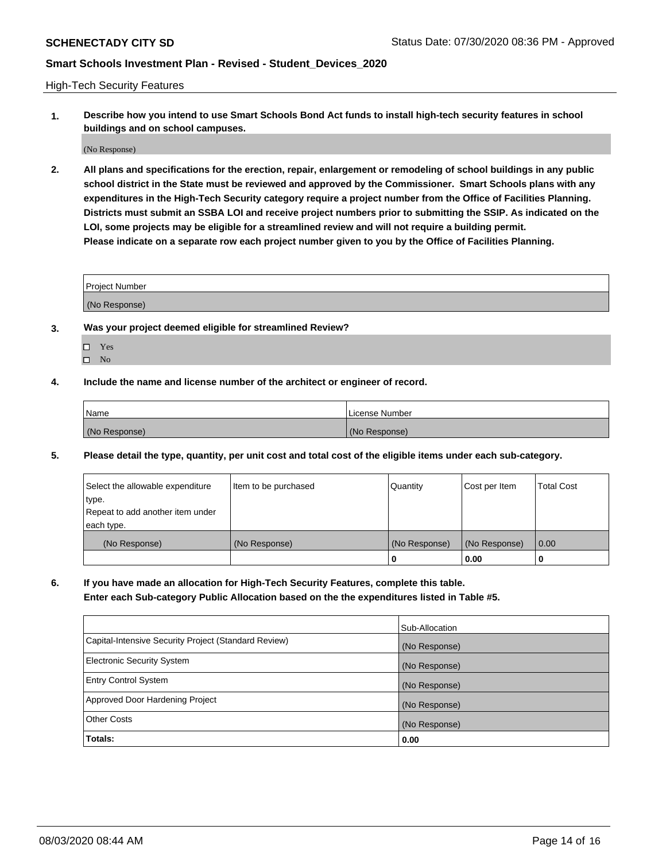High-Tech Security Features

**1. Describe how you intend to use Smart Schools Bond Act funds to install high-tech security features in school buildings and on school campuses.**

(No Response)

**2. All plans and specifications for the erection, repair, enlargement or remodeling of school buildings in any public school district in the State must be reviewed and approved by the Commissioner. Smart Schools plans with any expenditures in the High-Tech Security category require a project number from the Office of Facilities Planning. Districts must submit an SSBA LOI and receive project numbers prior to submitting the SSIP. As indicated on the LOI, some projects may be eligible for a streamlined review and will not require a building permit. Please indicate on a separate row each project number given to you by the Office of Facilities Planning.**

| <b>Project Number</b> |  |
|-----------------------|--|
|                       |  |
| (No Response)         |  |

- **3. Was your project deemed eligible for streamlined Review?**
	- Yes
	- $\hfill \Box$  No
- **4. Include the name and license number of the architect or engineer of record.**

| <b>Name</b>   | License Number |
|---------------|----------------|
| (No Response) | (No Response)  |

**5. Please detail the type, quantity, per unit cost and total cost of the eligible items under each sub-category.**

| Select the allowable expenditure | Item to be purchased | Quantity      | Cost per Item | Total Cost |
|----------------------------------|----------------------|---------------|---------------|------------|
| 'type.                           |                      |               |               |            |
| Repeat to add another item under |                      |               |               |            |
| each type.                       |                      |               |               |            |
| (No Response)                    | (No Response)        | (No Response) | (No Response) | 0.00       |
|                                  |                      | u             | 0.00          |            |

**6. If you have made an allocation for High-Tech Security Features, complete this table.**

**Enter each Sub-category Public Allocation based on the the expenditures listed in Table #5.**

|                                                      | Sub-Allocation |
|------------------------------------------------------|----------------|
| Capital-Intensive Security Project (Standard Review) | (No Response)  |
| <b>Electronic Security System</b>                    | (No Response)  |
| <b>Entry Control System</b>                          | (No Response)  |
| Approved Door Hardening Project                      | (No Response)  |
| <b>Other Costs</b>                                   | (No Response)  |
| Totals:                                              | 0.00           |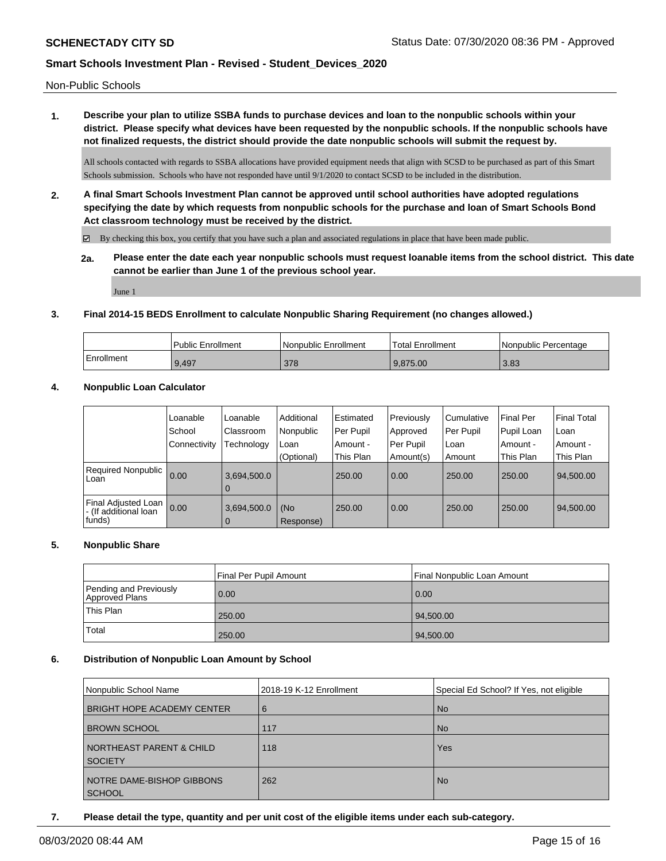Non-Public Schools

**1. Describe your plan to utilize SSBA funds to purchase devices and loan to the nonpublic schools within your district. Please specify what devices have been requested by the nonpublic schools. If the nonpublic schools have not finalized requests, the district should provide the date nonpublic schools will submit the request by.**

All schools contacted with regards to SSBA allocations have provided equipment needs that align with SCSD to be purchased as part of this Smart Schools submission. Schools who have not responded have until 9/1/2020 to contact SCSD to be included in the distribution.

**2. A final Smart Schools Investment Plan cannot be approved until school authorities have adopted regulations specifying the date by which requests from nonpublic schools for the purchase and loan of Smart Schools Bond Act classroom technology must be received by the district.**

 $\boxtimes$  By checking this box, you certify that you have such a plan and associated regulations in place that have been made public.

**2a. Please enter the date each year nonpublic schools must request loanable items from the school district. This date cannot be earlier than June 1 of the previous school year.**

June 1

### **3. Final 2014-15 BEDS Enrollment to calculate Nonpublic Sharing Requirement (no changes allowed.)**

|            | Public Enrollment | Nonpublic Enrollment | <sup>1</sup> Total Enrollment | Nonpublic Percentage |
|------------|-------------------|----------------------|-------------------------------|----------------------|
| Enrollment | 9.497             | 378                  | 9.875.00                      | 3.83                 |

### **4. Nonpublic Loan Calculator**

|                                                        | Loanable<br>School<br>Connectivity | Loanable<br>Classroom<br>Technology | Additional<br>Nonpublic<br>Loan | Estimated<br>Per Pupil<br>Amount - | Previously<br>Approved<br>Per Pupil | Cumulative<br>Per Pupil<br>Loan | <b>Final Per</b><br>Pupil Loan<br>Amount - | <b>Final Total</b><br>∣Loan<br>Amount - |
|--------------------------------------------------------|------------------------------------|-------------------------------------|---------------------------------|------------------------------------|-------------------------------------|---------------------------------|--------------------------------------------|-----------------------------------------|
| <b>Required Nonpublic</b><br>Loan                      | 0.00                               | 3,694,500.0                         | (Optional)                      | This Plan<br>250.00                | Amount(s)<br>0.00                   | Amount<br>250.00                | This Plan<br>250.00                        | This Plan<br>94,500.00                  |
|                                                        |                                    | $\Omega$                            |                                 |                                    |                                     |                                 |                                            |                                         |
| Final Adjusted Loan<br>- (If additional loan<br>funds) | 0.00                               | 3,694,500.0<br>$\Omega$             | (No<br>Response)                | 250.00                             | 0.00                                | 250.00                          | 250.00                                     | 94,500.00                               |

### **5. Nonpublic Share**

|                                          | Final Per Pupil Amount | Final Nonpublic Loan Amount |
|------------------------------------------|------------------------|-----------------------------|
| Pending and Previously<br>Approved Plans | 0.00                   | 0.00                        |
| This Plan                                | 250.00                 | 94,500.00                   |
| Total                                    | 250.00                 | 94,500.00                   |

### **6. Distribution of Nonpublic Loan Amount by School**

| Nonpublic School Name               | 2018-19 K-12 Enrollment | Special Ed School? If Yes, not eligible |
|-------------------------------------|-------------------------|-----------------------------------------|
| <b>BRIGHT HOPE ACADEMY CENTER</b>   | 6                       | l No                                    |
| <b>BROWN SCHOOL</b>                 | 117                     | l No                                    |
| <b>NORTHEAST PARENT &amp; CHILD</b> | 118                     | Yes                                     |
| <b>SOCIETY</b>                      |                         |                                         |
| NOTRE DAME-BISHOP GIBBONS           | 262                     | l No                                    |
| <b>SCHOOL</b>                       |                         |                                         |

**7. Please detail the type, quantity and per unit cost of the eligible items under each sub-category.**